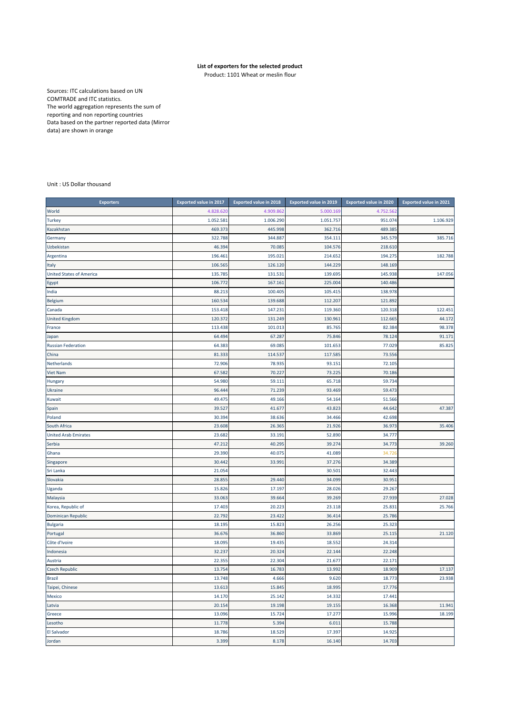## **List of exporters for the selected product**

Product: 1101 Wheat or meslin flour

Sources: ITC calculations based on UN COMTRADE and ITC statistics. The world aggregation represents the sum of reporting and non reporting countries Data based on the partner reported data (Mirror data) are shown in orange

Unit : US Dollar thousand

| <b>Exporters</b>                | <b>Exported value in 2017</b> | Exported value in 2018 | <b>Exported value in 2019</b> | Exported value in 2020 | <b>Exported value in 2021</b> |
|---------------------------------|-------------------------------|------------------------|-------------------------------|------------------------|-------------------------------|
| World                           | 4.828.620                     | 4.909.862              | 5.000.169                     | 4.752.562              |                               |
| <b>Turkey</b>                   | 1.052.581                     | 1.006.290              | 1.051.757                     | 951.074                | 1.106.929                     |
| Kazakhstan                      | 469.373                       | 445.998                | 362.716                       | 489.385                |                               |
| Germany                         | 322.788                       | 344.887                | 354.111                       | 345.579                | 385.716                       |
| Uzbekistan                      | 46.394                        | 70.085                 | 104.576                       | 218.610                |                               |
| Argentina                       | 196.461                       | 195.021                | 214.652                       | 194.275                | 182.788                       |
| Italy                           | 106.565                       | 126.120                | 144.229                       | 148.169                |                               |
| <b>United States of America</b> | 135.785                       | 131.531                | 139.695                       | 145.938                | 147.056                       |
| Egypt                           | 106.772                       | 167.161                | 225.004                       | 140.486                |                               |
| India                           | 88.213                        | 100.405                | 105.415                       | 138.978                |                               |
| Belgium                         | 160.534                       | 139.688                | 112.207                       | 121.892                |                               |
| Canada                          | 153.418                       | 147.231                | 119.360                       | 120.318                | 122.451                       |
| <b>United Kingdom</b>           | 120.372                       | 131.249                | 130.961                       | 112.665                | 44.172                        |
| France                          | 113.438                       | 101.013                | 85.765                        | 82.384                 | 98.378                        |
| Japan                           | 64.494                        | 67.287                 | 75.846                        | 78.124                 | 91.171                        |
| <b>Russian Federation</b>       | 64.383                        | 69.085                 | 101.653                       | 77.029                 | 85.825                        |
| China                           | 81.333                        | 114.537                | 117.585                       | 73.556                 |                               |
| Netherlands                     | 72.906                        | 78.935                 | 93.151                        | 72.105                 |                               |
| <b>Viet Nam</b>                 | 67.582                        | 70.227                 | 73.225                        | 70.186                 |                               |
| Hungary                         | 54.980                        | 59.111                 | 65.718                        | 59.734                 |                               |
| Ukraine                         | 96.444                        | 71.239                 | 93.469                        | 59.473                 |                               |
| Kuwait                          | 49.475                        | 49.166                 | 54.164                        | 51.566                 |                               |
| Spain                           | 39.527                        | 41.677                 | 43.823                        | 44.642                 | 47.387                        |
| Poland                          | 30.394                        | 38.636                 | 34.466                        | 42.698                 |                               |
| South Africa                    | 23.608                        | 26.365                 | 21.926                        | 36.973                 | 35.406                        |
| <b>United Arab Emirates</b>     | 23.682                        | 33.191                 | 52.890                        | 34.777                 |                               |
| Serbia                          | 47.212                        | 40.295                 | 39.274                        | 34.773                 | 39.260                        |
| Ghana                           | 29.390                        | 40.075                 | 41.089                        | 34.72                  |                               |
| Singapore                       | 30.442                        | 33.991                 | 37.276                        | 34.389                 |                               |
| Sri Lanka                       | 21.054                        |                        | 30.501                        | 32.443                 |                               |
| Slovakia                        | 28.855                        | 29.440                 | 34.099                        | 30.951                 |                               |
| Uganda                          | 15.826                        | 17.197                 | 28.026                        | 29.267                 |                               |
| Malaysia                        | 33.063                        | 39.664                 | 39.269                        | 27.939                 | 27.028                        |
| Korea, Republic of              | 17.403                        | 20.223                 | 23.118                        | 25.831                 | 25.766                        |
| Dominican Republic              | 22.792                        | 23.422                 | 36.414                        | 25.786                 |                               |
| <b>Bulgaria</b>                 | 18.195                        | 15.823                 | 26.256                        | 25.323                 |                               |
| Portugal                        | 36.676                        | 36.860                 | 33.869                        | 25.115                 | 21.120                        |
| Côte d'Ivoire                   | 18.095                        | 19.435                 | 18.552                        | 24.314                 |                               |
| Indonesia                       | 32.237                        | 20.324                 | 22.144                        | 22.248                 |                               |
| Austria                         | 22.355                        | 22.304                 | 21.677                        | 22.171                 |                               |
| <b>Czech Republic</b>           | 13.754                        | 16.783                 | 13.992                        | 18.909                 | 17.137                        |
| Brazil                          | 13.748                        | 4.666                  | 9.620                         | 18.773                 | 23.938                        |
| Taipei, Chinese                 | 13.613                        | 15.845                 | 18.995                        | 17.776                 |                               |
| Mexico                          | 14.170                        | 25.142                 | 14.332                        | 17.441                 |                               |
| Latvia                          | 20.154                        | 19.198                 | 19.155                        | 16.368                 | 11.941                        |
| Greece                          | 13.096                        | 15.724                 | 17.277                        | 15.996                 | 18.199                        |
| Lesotho                         | 11.778                        | 5.394                  | 6.011                         | 15.788                 |                               |
| <b>El Salvador</b>              | 18.786                        | 18.529                 | 17.397                        | 14.925                 |                               |
| Jordan                          | 3.399                         | 8.178                  | 16.140                        | 14.703                 |                               |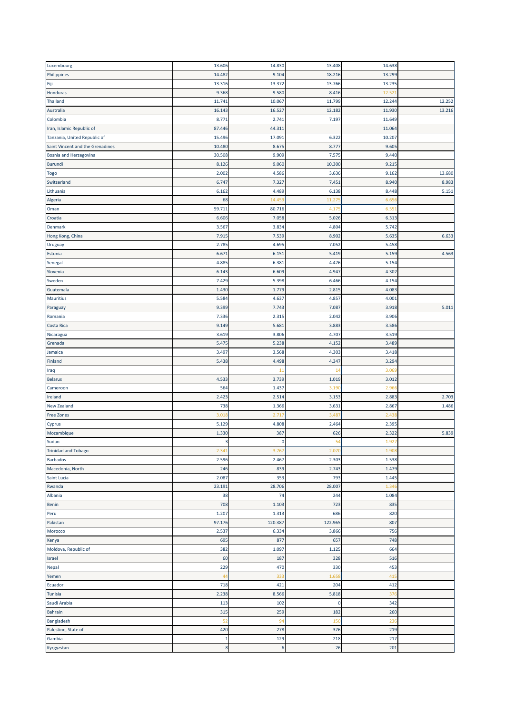| Luxembourg                          | 13.606       | 14.830  | 13.408  | 14.638 |        |
|-------------------------------------|--------------|---------|---------|--------|--------|
| Philippines                         | 14.482       | 9.104   | 18.216  | 13.299 |        |
| Fiji                                | 13.316       | 13.372  | 13.766  | 13.235 |        |
| Honduras                            | 9.368        | 9.580   | 8.416   | 12.52  |        |
| <b>Thailand</b>                     | 11.741       | 10.067  | 11.799  | 12.244 | 12.252 |
| Australia                           | 16.143       | 16.527  | 12.182  | 11.930 | 13.216 |
| Colombia                            | 8.771        | 2.741   | 7.197   | 11.649 |        |
|                                     |              |         |         |        |        |
| Iran, Islamic Republic of           | 87.446       | 44.311  |         | 11.064 |        |
| Tanzania, United Republic of        | 15.496       | 17.091  | 6.322   | 10.207 |        |
| Saint Vincent and the Grenadines    | 10.480       | 8.675   | 8.777   | 9.605  |        |
| Bosnia and Herzegovina              | 30.508       | 9.909   | 7.575   | 9.440  |        |
| <b>Burundi</b>                      | 8.126        | 9.060   | 10.300  | 9.215  |        |
| Togo                                | 2.002        | 4.586   | 3.636   | 9.162  | 13.680 |
| Switzerland                         | 6.747        | 7.327   | 7.451   | 8.940  | 8.983  |
| Lithuania                           | 6.162        | 4.489   | 6.138   | 8.448  | 5.151  |
| Algeria                             | 68           | 14.45   | 11.275  | 6.65   |        |
| Oman                                | 59.711       | 80.716  | 4.175   | 6.55   |        |
| Croatia                             | 6.606        | 7.058   | 5.026   | 6.313  |        |
| Denmark                             | 3.567        | 3.834   | 4.804   | 5.742  |        |
| Hong Kong, China                    | 7.915        | 7.539   | 8.902   | 5.635  | 6.633  |
| Uruguay                             | 2.785        | 4.695   | 7.052   | 5.458  |        |
| Estonia                             | 6.671        | 6.151   | 5.419   | 5.159  | 4.563  |
| Senegal                             | 4.885        | 6.381   | 4.476   | 5.154  |        |
| Slovenia                            | 6.143        | 6.609   | 4.947   | 4.302  |        |
| Sweden                              | 7.429        | 5.398   | 6.466   | 4.154  |        |
| Guatemala                           | 1.430        | 1.779   | 2.815   | 4.083  |        |
|                                     |              |         |         |        |        |
| Mauritius                           | 5.584        | 4.637   | 4.857   | 4.001  |        |
| Paraguay                            | 9.399        | 7.743   | 7.087   | 3.918  | 5.011  |
| Romania                             | 7.336        | 2.315   | 2.042   | 3.906  |        |
| Costa Rica                          | 9.149        | 5.681   | 3.883   | 3.586  |        |
| Nicaragua                           | 3.619        | 3.806   | 4.707   | 3.519  |        |
| Grenada                             | 5.475        | 5.238   | 4.152   | 3.489  |        |
| Jamaica                             | 3.497        | 3.568   | 4.303   | 3.418  |        |
|                                     |              |         |         |        |        |
| Finland                             | 5.438        | 4.498   | 4.347   | 3.294  |        |
| Iraq                                |              | 11      | 14      | 3.06   |        |
| <b>Belarus</b>                      | 4.533        | 3.739   | 1.019   | 3.012  |        |
| Cameroon                            | 564          | 1.437   | 3.190   | 2.96   |        |
| Ireland                             | 2.423        | 2.514   | 3.153   | 2.883  | 2.703  |
| New Zealand                         | 738          | 1.366   | 3.631   | 2.867  | 1.486  |
| <b>Free Zones</b>                   | 3.01         | 2.71    | 3.487   | 2.438  |        |
| Cyprus                              | 5.129        | 4.808   | 2.464   | 2.395  |        |
| Mozambique                          | 1.330        | 387     | 626     | 2.322  | 5.839  |
|                                     | -5           | -U      | -54     | 1.927  |        |
| Sudan                               | 2.341        |         | 2.070   |        |        |
| <b>Trinidad and Tobago</b>          |              | 3.767   |         | 1.908  |        |
| <b>Barbados</b>                     | 2.596        | 2.467   | 2.303   | 1.538  |        |
| Macedonia, North                    | 246          | 839     | 2.743   | 1.479  |        |
| Saint Lucia                         | 2.087        | 353     | 793     | 1.445  |        |
|                                     | 23.191       | 28.706  | 28.007  | 1.34   |        |
| Albania                             | 38           | 74      | 244     | 1.084  |        |
| Rwanda<br>Benin                     | 708          | 1.103   | 723     | 835    |        |
|                                     | 1.207        | 1.313   | 686     | 820    |        |
|                                     | 97.176       | 120.387 | 122.965 | 807    |        |
| Morocco                             | 2.537        | 6.334   | 3.866   | 756    |        |
| Kenya                               | 695          | 877     | 657     | 748    |        |
| Moldova, Republic of                | 382          | 1.097   | 1.125   | 664    |        |
| Israel                              | 60           | 187     | 328     | 516    |        |
| Nepal                               | 229          | 470     | 330     | 453    |        |
| Peru<br>Pakistan<br>Yemen           | 44           | 333     | 1.658   | 415    |        |
| Ecuador                             | 718          | 421     | 204     | 412    |        |
| Tunisia                             | 2.238        | 8.566   | 5.818   | 376    |        |
|                                     | 113          | 102     | 0       | 342    |        |
| Bahrain                             | 315          | 259     | 182     | 260    |        |
| Bangladesh                          | 52           | 94      | 150     | 236    |        |
| Saudi Arabia<br>Palestine, State of | 420          | 278     | 376     | 219    |        |
| Gambia                              | $\mathbf{1}$ | 129     | 218     | 217    |        |
| Kyrgyzstan                          | 8            | 6       | 26      | 201    |        |